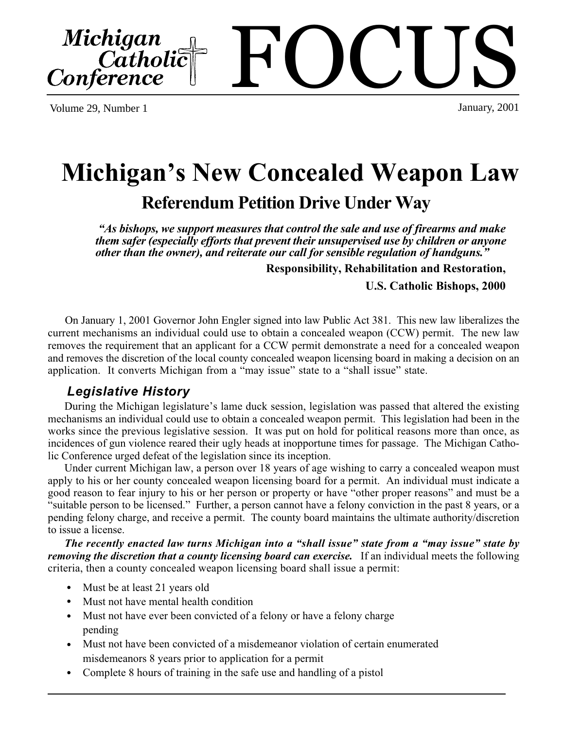Volume 29, Number 1

# **Michigan's New Concealed Weapon Law Referendum Petition Drive Under Way**

 *"As bishops, we support measures that control the sale and use of firearms and make them safer (especially efforts that prevent their unsupervised use by children or anyone other than the owner), and reiterate our call for sensible regulation of handguns."*

**Responsibility, Rehabilitation and Restoration,**

 **U.S. Catholic Bishops, 2000**

 On January 1, 2001 Governor John Engler signed into law Public Act 381. This new law liberalizes the current mechanisms an individual could use to obtain a concealed weapon (CCW) permit. The new law removes the requirement that an applicant for a CCW permit demonstrate a need for a concealed weapon and removes the discretion of the local county concealed weapon licensing board in making a decision on an application. It converts Michigan from a "may issue" state to a "shall issue" state.

## *Legislative History*

During the Michigan legislature's lame duck session, legislation was passed that altered the existing mechanisms an individual could use to obtain a concealed weapon permit. This legislation had been in the works since the previous legislative session. It was put on hold for political reasons more than once, as incidences of gun violence reared their ugly heads at inopportune times for passage. The Michigan Catholic Conference urged defeat of the legislation since its inception.

Under current Michigan law, a person over 18 years of age wishing to carry a concealed weapon must apply to his or her county concealed weapon licensing board for a permit. An individual must indicate a good reason to fear injury to his or her person or property or have "other proper reasons" and must be a "suitable person to be licensed." Further, a person cannot have a felony conviction in the past 8 years, or a pending felony charge, and receive a permit. The county board maintains the ultimate authority/discretion to issue a license.

 *The recently enacted law turns Michigan into a "shall issue" state from a "may issue" state by removing the discretion that a county licensing board can exercise.* If an individual meets the following criteria, then a county concealed weapon licensing board shall issue a permit:

- Must be at least 21 years old
- Must not have mental health condition
- Must not have ever been convicted of a felony or have a felony charge pending
- Must not have been convicted of a misdemeanor violation of certain enumerated misdemeanors 8 years prior to application for a permit
- Complete 8 hours of training in the safe use and handling of a pistol



January, 2001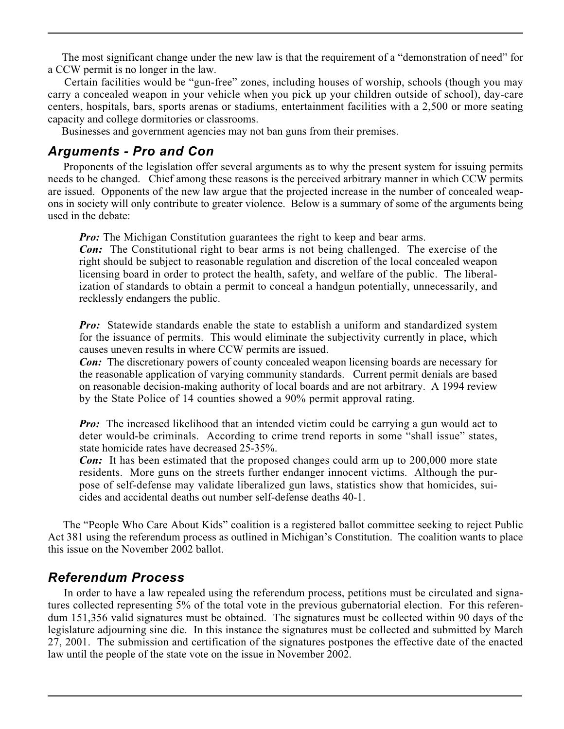The most significant change under the new law is that the requirement of a "demonstration of need" for a CCW permit is no longer in the law.

 Certain facilities would be "gun-free" zones, including houses of worship, schools (though you may carry a concealed weapon in your vehicle when you pick up your children outside of school), day-care centers, hospitals, bars, sports arenas or stadiums, entertainment facilities with a 2,500 or more seating capacity and college dormitories or classrooms.

Businesses and government agencies may not ban guns from their premises.

### *Arguments - Pro and Con*

 Proponents of the legislation offer several arguments as to why the present system for issuing permits needs to be changed. Chief among these reasons is the perceived arbitrary manner in which CCW permits are issued. Opponents of the new law argue that the projected increase in the number of concealed weapons in society will only contribute to greater violence. Below is a summary of some of the arguments being used in the debate:

*Pro:* The Michigan Constitution guarantees the right to keep and bear arms.

*Con:* The Constitutional right to bear arms is not being challenged. The exercise of the right should be subject to reasonable regulation and discretion of the local concealed weapon licensing board in order to protect the health, safety, and welfare of the public. The liberalization of standards to obtain a permit to conceal a handgun potentially, unnecessarily, and recklessly endangers the public.

*Pro:* Statewide standards enable the state to establish a uniform and standardized system for the issuance of permits. This would eliminate the subjectivity currently in place, which causes uneven results in where CCW permits are issued.

*Con:* The discretionary powers of county concealed weapon licensing boards are necessary for the reasonable application of varying community standards. Current permit denials are based on reasonable decision-making authority of local boards and are not arbitrary. A 1994 review by the State Police of 14 counties showed a 90% permit approval rating. .

*Pro:* The increased likelihood that an intended victim could be carrying a gun would act to deter would-be criminals. According to crime trend reports in some "shall issue" states, state homicide rates have decreased 25-35%.

*Con:* It has been estimated that the proposed changes could arm up to 200,000 more state residents. More guns on the streets further endanger innocent victims. Although the purpose of self-defense may validate liberalized gun laws, statistics show that homicides, suicides and accidental deaths out number self-defense deaths 40-1.

 The "People Who Care About Kids" coalition is a registered ballot committee seeking to reject Public Act 381 using the referendum process as outlined in Michigan's Constitution. The coalition wants to place this issue on the November 2002 ballot.

### *Referendum Process*

 In order to have a law repealed using the referendum process, petitions must be circulated and signatures collected representing 5% of the total vote in the previous gubernatorial election. For this referendum 151,356 valid signatures must be obtained. The signatures must be collected within 90 days of the legislature adjourning sine die. In this instance the signatures must be collected and submitted by March 27, 2001. The submission and certification of the signatures postpones the effective date of the enacted law until the people of the state vote on the issue in November 2002.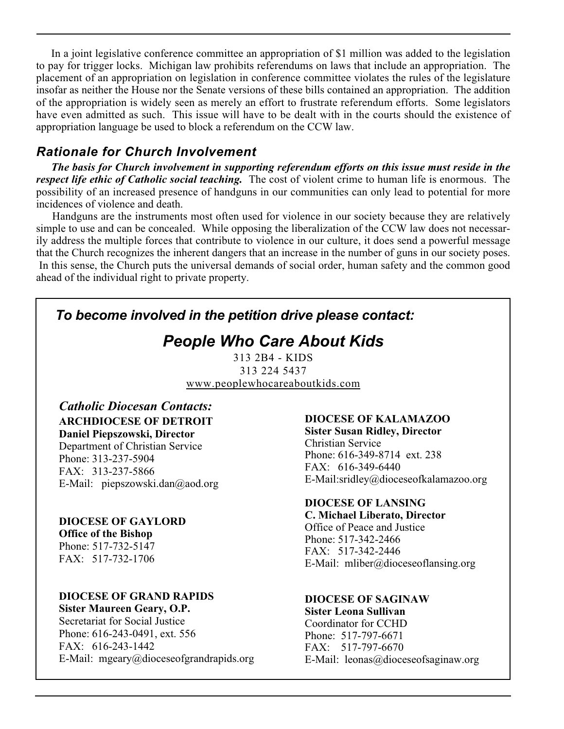In a joint legislative conference committee an appropriation of \$1 million was added to the legislation to pay for trigger locks. Michigan law prohibits referendums on laws that include an appropriation. The placement of an appropriation on legislation in conference committee violates the rules of the legislature insofar as neither the House nor the Senate versions of these bills contained an appropriation. The addition of the appropriation is widely seen as merely an effort to frustrate referendum efforts. Some legislators have even admitted as such. This issue will have to be dealt with in the courts should the existence of appropriation language be used to block a referendum on the CCW law.

# *Rationale for Church Involvement*

 *The basis for Church involvement in supporting referendum efforts on this issue must reside in the respect life ethic of Catholic social teaching.* The cost of violent crime to human life is enormous. The possibility of an increased presence of handguns in our communities can only lead to potential for more incidences of violence and death.

 Handguns are the instruments most often used for violence in our society because they are relatively simple to use and can be concealed. While opposing the liberalization of the CCW law does not necessarily address the multiple forces that contribute to violence in our culture, it does send a powerful message that the Church recognizes the inherent dangers that an increase in the number of guns in our society poses. In this sense, the Church puts the universal demands of social order, human safety and the common good ahead of the individual right to private property.

# *To become involved in the petition drive please contact:*

# *People Who Care About Kids*

313 2B4 - KIDS 313 224 5437 www.peoplewhocareaboutkids.com

**ARCHDIOCESE OF DETROIT Daniel Piepszowski, Director** Department of Christian Service Phone: 313-237-5904 FAX: 313-237-5866 E-Mail: piepszowski.dan@aod.org *Catholic Diocesan Contacts:*

**DIOCESE OF GAYLORD Office of the Bishop** Phone: 517-732-5147 FAX: 517-732-1706

**DIOCESE OF GRAND RAPIDS Sister Maureen Geary, O.P.**

Secretariat for Social Justice Phone: 616-243-0491, ext. 556 FAX: 616-243-1442 E-Mail: mgeary@dioceseofgrandrapids.org

### **DIOCESE OF KALAMAZOO**

**Sister Susan Ridley, Director** Christian Service Phone: 616-349-8714 ext. 238 FAX: 616-349-6440 E-Mail:sridley@dioceseofkalamazoo.org

### **DIOCESE OF LANSING**

**C. Michael Liberato, Director** Office of Peace and Justice Phone: 517-342-2466 FAX: 517-342-2446 E-Mail: mliber@dioceseoflansing.org

**DIOCESE OF SAGINAW**

**Sister Leona Sullivan** Coordinator for CCHD Phone: 517-797-6671 FAX: 517-797-6670 E-Mail: leonas@dioceseofsaginaw.org